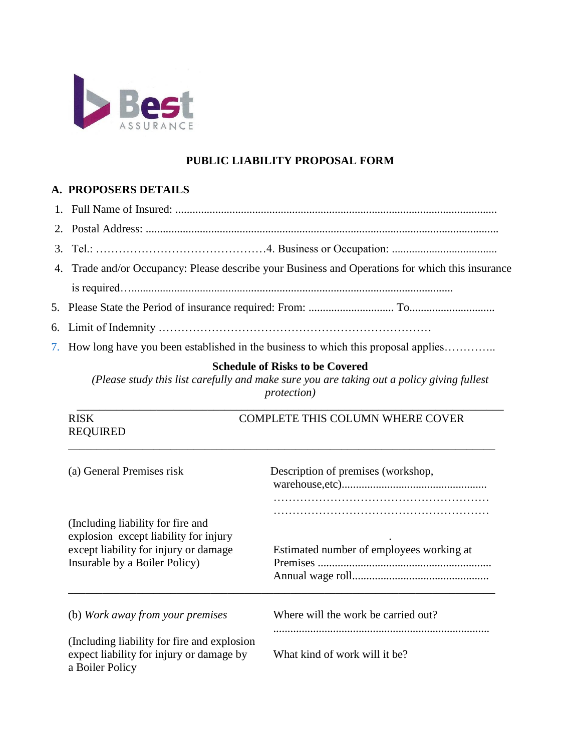

## **PUBLIC LIABILITY PROPOSAL FORM**

## **A. PROPOSERS DETAILS**

- 1. Full Name of Insured: .................................................................................................................
- 2. Postal Address: ............................................................................................................................
- 3. Tel.: ………………………………………4. Business or Occupation: .....................................
- 4. Trade and/or Occupancy: Please describe your Business and Operations for which this insurance is required….................................................................................................................
- 5. Please State the Period of insurance required: From: .............................. To..............................
- 6. Limit of Indemnity ………………………………………………………………
- 7. How long have you been established in the business to which this proposal applies…………..

## **Schedule of Risks to be Covered**

*(Please study this list carefully and make sure you are taking out a policy giving fullest protection)* 

\_\_\_\_\_\_\_\_\_\_\_\_\_\_\_\_\_\_\_\_\_\_\_\_\_\_\_\_\_\_\_\_\_\_\_\_\_\_\_\_\_\_\_\_\_\_\_\_\_\_\_\_\_\_\_\_\_\_\_\_\_\_\_\_\_\_\_\_\_\_\_\_\_\_\_

| <b>RISK</b><br><b>REQUIRED</b>                                                                                  | <b>COMPLETE THIS COLUMN WHERE COVER</b>  |
|-----------------------------------------------------------------------------------------------------------------|------------------------------------------|
| (a) General Premises risk                                                                                       | Description of premises (workshop,       |
| (Including liability for fire and                                                                               |                                          |
| explosion except liability for injury<br>except liability for injury or damage<br>Insurable by a Boiler Policy) | Estimated number of employees working at |
| (b) Work away from your premises                                                                                | Where will the work be carried out?      |
| (Including liability for fire and explosion)<br>expect liability for injury or damage by<br>a Boiler Policy     | What kind of work will it be?            |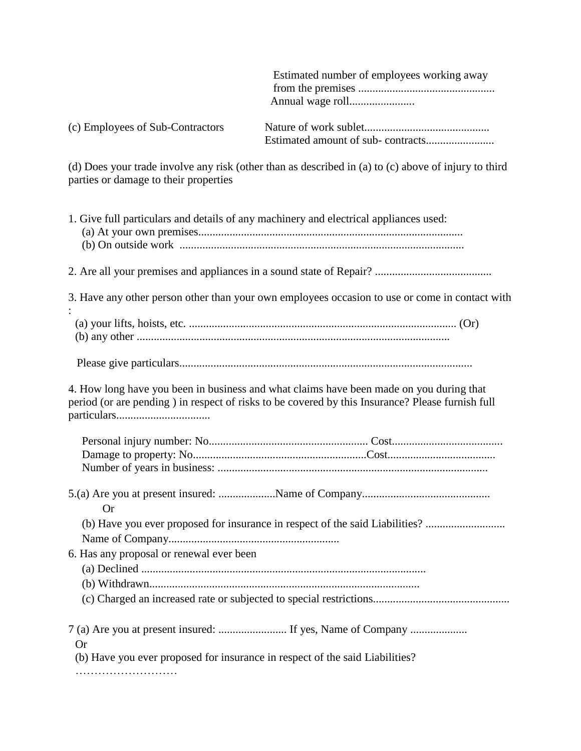Estimated number of employees working away from the premises ................................................ Annual wage roll....................... (c) Employees of Sub-Contractors Nature of work sublet............................................ Estimated amount of sub- contracts........................ (d) Does your trade involve any risk (other than as described in (a) to (c) above of injury to third parties or damage to their properties 1. Give full particulars and details of any machinery and electrical appliances used: (a) At your own premises............................................................................................. (b) On outside work .................................................................................................... 2. Are all your premises and appliances in a sound state of Repair? ......................................... 3. Have any other person other than your own employees occasion to use or come in contact with : (a) your lifts, hoists, etc. .............................................................................................. (Or) (b) any other .............................................................................................................. Please give particulars....................................................................................................... 4. How long have you been in business and what claims have been made on you during that period (or are pending ) in respect of risks to be covered by this Insurance? Please furnish full particulars................................. Personal injury number: No........................................................ Cost....................................... Damage to property: No.............................................................Cost...................................... Number of years in business: ............................................................................................... 5.(a) Are you at present insured: ....................Name of Company............................................. Or (b) Have you ever proposed for insurance in respect of the said Liabilities? ................................. Name of Company............................................................ 6. Has any proposal or renewal ever been (a) Declined .................................................................................................... (b) Withdrawn............................................................................................... (c) Charged an increased rate or subjected to special restrictions................................................ 7 (a) Are you at present insured: ........................ If yes, Name of Company .................... Or (b) Have you ever proposed for insurance in respect of the said Liabilities?